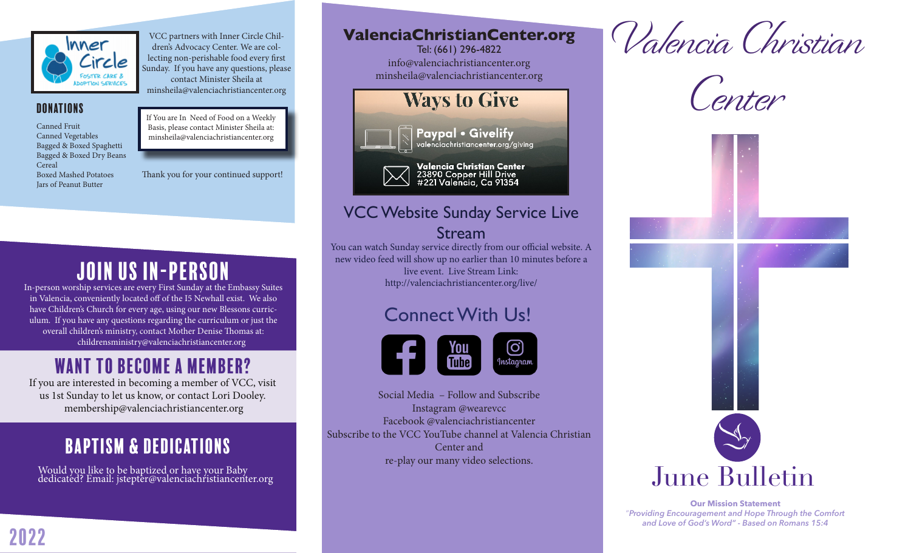

VCC partners with Inner Circle Children's Advocacy Center. We are collecting non-perishable food every first Sunday. If you have any questions, please contact Minister Sheila at minsheila@valenciachristiancenter.org

**DONATIONS** 

Canned Fruit Canned Vegetables Bagged & Boxed Spaghetti Bagged & Boxed Dry Beans Cereal Boxed Mashed Potatoes Jars of Peanut Butter

If You are In Need of Food on a Weekly Basis, please contact Minister Sheila at: minsheila@valenciachristiancenter.org

Thank you for your continued support!

# Join Us IN-Person

In-person worship services are every First Sunday at the Embassy Suites in Valencia, conveniently located off of the I5 Newhall exist. We also have Children's Church for every age, using our new Blessons curriculum. If you have any questions regarding the curriculum or just the overall children's ministry, contact Mother Denise Thomas at: childrensministry@valenciachristiancenter.org

### Want to become a member?

If you are interested in becoming a member of VCC, visit us 1st Sunday to let us know, or contact Lori Dooley. membership@valenciachristiancenter.org

## Baptism & Dedications

Would you like to be baptized or have your Baby dedicated? Email: jstepter@valenciachristiancenter.org

#### **ValenciaChristianCenter.org**

Tel: (661) 296-4822 info@valenciachristiancenter.org minsheila@valenciachristiancenter.org



#### VCC Website Sunday Service Live Stream

You can watch Sunday service directly from our official website. A new video feed will show up no earlier than 10 minutes before a live event. Live Stream Link: http://valenciachristiancenter.org/live/

#### Connect With Us!



Social Media – Follow and Subscribe Instagram @wearevcc Facebook @valenciachristiancenter Subscribe to the VCC YouTube channel at Valencia Christian Center and re-play our many video selections.







**Our Mission Statement** "*Providing Encouragement and Hope Through the Comfort and Love of God's Word" - Based on Romans 15:4*